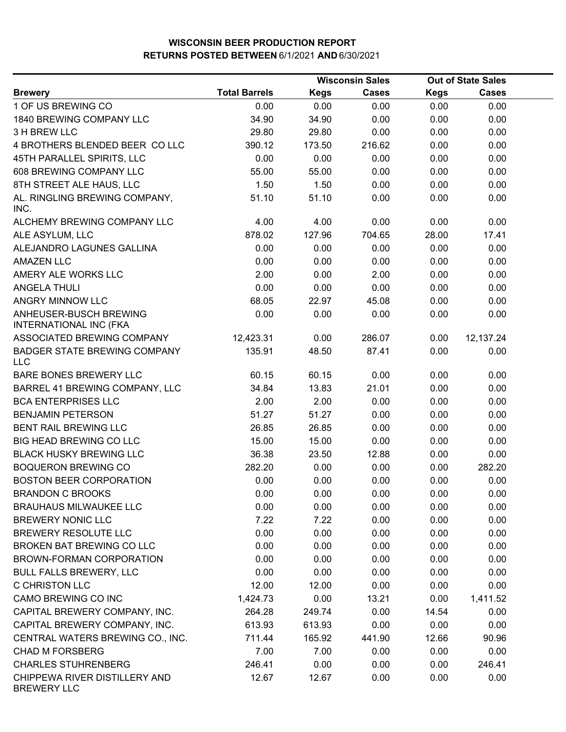|                                                         |                      |             | <b>Wisconsin Sales</b> |             | <b>Out of State Sales</b> |  |
|---------------------------------------------------------|----------------------|-------------|------------------------|-------------|---------------------------|--|
| <b>Brewery</b>                                          | <b>Total Barrels</b> | <b>Kegs</b> | <b>Cases</b>           | <b>Kegs</b> | <b>Cases</b>              |  |
| 1 OF US BREWING CO                                      | 0.00                 | 0.00        | 0.00                   | 0.00        | 0.00                      |  |
| 1840 BREWING COMPANY LLC                                | 34.90                | 34.90       | 0.00                   | 0.00        | 0.00                      |  |
| 3 H BREW LLC                                            | 29.80                | 29.80       | 0.00                   | 0.00        | 0.00                      |  |
| 4 BROTHERS BLENDED BEER CO LLC                          | 390.12               | 173.50      | 216.62                 | 0.00        | 0.00                      |  |
| 45TH PARALLEL SPIRITS, LLC                              | 0.00                 | 0.00        | 0.00                   | 0.00        | 0.00                      |  |
| 608 BREWING COMPANY LLC                                 | 55.00                | 55.00       | 0.00                   | 0.00        | 0.00                      |  |
| 8TH STREET ALE HAUS, LLC                                | 1.50                 | 1.50        | 0.00                   | 0.00        | 0.00                      |  |
| AL. RINGLING BREWING COMPANY,<br>INC.                   | 51.10                | 51.10       | 0.00                   | 0.00        | 0.00                      |  |
| ALCHEMY BREWING COMPANY LLC                             | 4.00                 | 4.00        | 0.00                   | 0.00        | 0.00                      |  |
| ALE ASYLUM, LLC                                         | 878.02               | 127.96      | 704.65                 | 28.00       | 17.41                     |  |
| ALEJANDRO LAGUNES GALLINA                               | 0.00                 | 0.00        | 0.00                   | 0.00        | 0.00                      |  |
| <b>AMAZEN LLC</b>                                       | 0.00                 | 0.00        | 0.00                   | 0.00        | 0.00                      |  |
| AMERY ALE WORKS LLC                                     | 2.00                 | 0.00        | 2.00                   | 0.00        | 0.00                      |  |
| <b>ANGELA THULI</b>                                     | 0.00                 | 0.00        | 0.00                   | 0.00        | 0.00                      |  |
| ANGRY MINNOW LLC                                        | 68.05                | 22.97       | 45.08                  | 0.00        | 0.00                      |  |
| ANHEUSER-BUSCH BREWING<br><b>INTERNATIONAL INC (FKA</b> | 0.00                 | 0.00        | 0.00                   | 0.00        | 0.00                      |  |
| ASSOCIATED BREWING COMPANY                              | 12,423.31            | 0.00        | 286.07                 | 0.00        | 12,137.24                 |  |
| BADGER STATE BREWING COMPANY<br><b>LLC</b>              | 135.91               | 48.50       | 87.41                  | 0.00        | 0.00                      |  |
| BARE BONES BREWERY LLC                                  | 60.15                | 60.15       | 0.00                   | 0.00        | 0.00                      |  |
| BARREL 41 BREWING COMPANY, LLC                          | 34.84                | 13.83       | 21.01                  | 0.00        | 0.00                      |  |
| <b>BCA ENTERPRISES LLC</b>                              | 2.00                 | 2.00        | 0.00                   | 0.00        | 0.00                      |  |
| <b>BENJAMIN PETERSON</b>                                | 51.27                | 51.27       | 0.00                   | 0.00        | 0.00                      |  |
| BENT RAIL BREWING LLC                                   | 26.85                | 26.85       | 0.00                   | 0.00        | 0.00                      |  |
| <b>BIG HEAD BREWING CO LLC</b>                          | 15.00                | 15.00       | 0.00                   | 0.00        | 0.00                      |  |
| <b>BLACK HUSKY BREWING LLC</b>                          | 36.38                | 23.50       | 12.88                  | 0.00        | 0.00                      |  |
| <b>BOQUERON BREWING CO</b>                              | 282.20               | 0.00        | 0.00                   | 0.00        | 282.20                    |  |
| <b>BOSTON BEER CORPORATION</b>                          | 0.00                 | 0.00        | 0.00                   | 0.00        | 0.00                      |  |
| <b>BRANDON C BROOKS</b>                                 | 0.00                 | 0.00        | 0.00                   | 0.00        | 0.00                      |  |
| <b>BRAUHAUS MILWAUKEE LLC</b>                           | 0.00                 | 0.00        | 0.00                   | 0.00        | 0.00                      |  |
| <b>BREWERY NONIC LLC</b>                                | 7.22                 | 7.22        | 0.00                   | 0.00        | 0.00                      |  |
| <b>BREWERY RESOLUTE LLC</b>                             | 0.00                 | 0.00        | 0.00                   | 0.00        | 0.00                      |  |
| BROKEN BAT BREWING CO LLC                               | 0.00                 | 0.00        | 0.00                   | 0.00        | 0.00                      |  |
| BROWN-FORMAN CORPORATION                                | 0.00                 | 0.00        | 0.00                   | 0.00        | 0.00                      |  |
| <b>BULL FALLS BREWERY, LLC</b>                          | 0.00                 | 0.00        | 0.00                   | 0.00        | 0.00                      |  |
| <b>C CHRISTON LLC</b>                                   | 12.00                | 12.00       | 0.00                   | 0.00        | 0.00                      |  |
| CAMO BREWING CO INC                                     | 1,424.73             | 0.00        | 13.21                  | 0.00        | 1,411.52                  |  |
| CAPITAL BREWERY COMPANY, INC.                           | 264.28               | 249.74      | 0.00                   | 14.54       | 0.00                      |  |
| CAPITAL BREWERY COMPANY, INC.                           | 613.93               | 613.93      | 0.00                   | 0.00        | 0.00                      |  |
| CENTRAL WATERS BREWING CO., INC.                        | 711.44               | 165.92      | 441.90                 | 12.66       | 90.96                     |  |
| <b>CHAD M FORSBERG</b>                                  | 7.00                 | 7.00        | 0.00                   | 0.00        | 0.00                      |  |
| <b>CHARLES STUHRENBERG</b>                              | 246.41               | 0.00        | 0.00                   | 0.00        | 246.41                    |  |
| CHIPPEWA RIVER DISTILLERY AND<br><b>BREWERY LLC</b>     | 12.67                | 12.67       | 0.00                   | 0.00        | 0.00                      |  |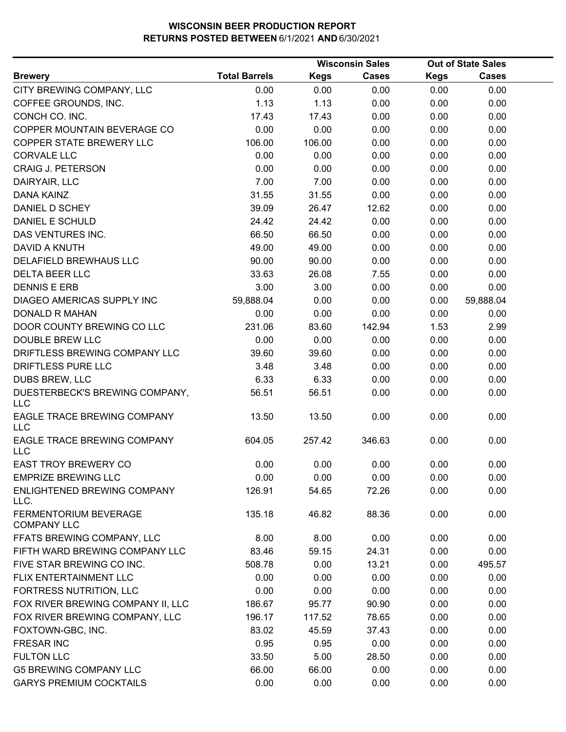|                                              |                      |             | <b>Wisconsin Sales</b> |             | <b>Out of State Sales</b> |  |
|----------------------------------------------|----------------------|-------------|------------------------|-------------|---------------------------|--|
| <b>Brewery</b>                               | <b>Total Barrels</b> | <b>Kegs</b> | <b>Cases</b>           | <b>Kegs</b> | <b>Cases</b>              |  |
| CITY BREWING COMPANY, LLC                    | 0.00                 | 0.00        | 0.00                   | 0.00        | 0.00                      |  |
| COFFEE GROUNDS, INC.                         | 1.13                 | 1.13        | 0.00                   | 0.00        | 0.00                      |  |
| CONCH CO. INC.                               | 17.43                | 17.43       | 0.00                   | 0.00        | 0.00                      |  |
| COPPER MOUNTAIN BEVERAGE CO                  | 0.00                 | 0.00        | 0.00                   | 0.00        | 0.00                      |  |
| COPPER STATE BREWERY LLC                     | 106.00               | 106.00      | 0.00                   | 0.00        | 0.00                      |  |
| <b>CORVALE LLC</b>                           | 0.00                 | 0.00        | 0.00                   | 0.00        | 0.00                      |  |
| <b>CRAIG J. PETERSON</b>                     | 0.00                 | 0.00        | 0.00                   | 0.00        | 0.00                      |  |
| DAIRYAIR, LLC                                | 7.00                 | 7.00        | 0.00                   | 0.00        | 0.00                      |  |
| <b>DANA KAINZ</b>                            | 31.55                | 31.55       | 0.00                   | 0.00        | 0.00                      |  |
| DANIEL D SCHEY                               | 39.09                | 26.47       | 12.62                  | 0.00        | 0.00                      |  |
| DANIEL E SCHULD                              | 24.42                | 24.42       | 0.00                   | 0.00        | 0.00                      |  |
| DAS VENTURES INC.                            | 66.50                | 66.50       | 0.00                   | 0.00        | 0.00                      |  |
| <b>DAVID A KNUTH</b>                         | 49.00                | 49.00       | 0.00                   | 0.00        | 0.00                      |  |
| DELAFIELD BREWHAUS LLC                       | 90.00                | 90.00       | 0.00                   | 0.00        | 0.00                      |  |
| <b>DELTA BEER LLC</b>                        | 33.63                | 26.08       | 7.55                   | 0.00        | 0.00                      |  |
| <b>DENNIS E ERB</b>                          | 3.00                 | 3.00        | 0.00                   | 0.00        | 0.00                      |  |
| DIAGEO AMERICAS SUPPLY INC                   | 59,888.04            | 0.00        | 0.00                   | 0.00        | 59,888.04                 |  |
| <b>DONALD R MAHAN</b>                        | 0.00                 | 0.00        | 0.00                   | 0.00        | 0.00                      |  |
| DOOR COUNTY BREWING CO LLC                   | 231.06               | 83.60       | 142.94                 | 1.53        | 2.99                      |  |
| <b>DOUBLE BREW LLC</b>                       | 0.00                 | 0.00        | 0.00                   | 0.00        | 0.00                      |  |
| DRIFTLESS BREWING COMPANY LLC                | 39.60                | 39.60       | 0.00                   | 0.00        | 0.00                      |  |
| DRIFTLESS PURE LLC                           | 3.48                 | 3.48        | 0.00                   | 0.00        | 0.00                      |  |
| <b>DUBS BREW, LLC</b>                        | 6.33                 | 6.33        | 0.00                   | 0.00        | 0.00                      |  |
| DUESTERBECK'S BREWING COMPANY,<br><b>LLC</b> | 56.51                | 56.51       | 0.00                   | 0.00        | 0.00                      |  |
| EAGLE TRACE BREWING COMPANY<br><b>LLC</b>    | 13.50                | 13.50       | 0.00                   | 0.00        | 0.00                      |  |
| EAGLE TRACE BREWING COMPANY<br><b>LLC</b>    | 604.05               | 257.42      | 346.63                 | 0.00        | 0.00                      |  |
| <b>EAST TROY BREWERY CO</b>                  | 0.00                 | 0.00        | 0.00                   | 0.00        | 0.00                      |  |
| <b>EMPRIZE BREWING LLC</b>                   | 0.00                 | 0.00        | 0.00                   | 0.00        | 0.00                      |  |
| ENLIGHTENED BREWING COMPANY<br>LLC.          | 126.91               | 54.65       | 72.26                  | 0.00        | 0.00                      |  |
| FERMENTORIUM BEVERAGE<br><b>COMPANY LLC</b>  | 135.18               | 46.82       | 88.36                  | 0.00        | 0.00                      |  |
| FFATS BREWING COMPANY, LLC                   | 8.00                 | 8.00        | 0.00                   | 0.00        | 0.00                      |  |
| FIFTH WARD BREWING COMPANY LLC               | 83.46                | 59.15       | 24.31                  | 0.00        | 0.00                      |  |
| FIVE STAR BREWING CO INC.                    | 508.78               | 0.00        | 13.21                  | 0.00        | 495.57                    |  |
| FLIX ENTERTAINMENT LLC                       | 0.00                 | 0.00        | 0.00                   | 0.00        | 0.00                      |  |
| FORTRESS NUTRITION, LLC                      | 0.00                 | 0.00        | 0.00                   | 0.00        | 0.00                      |  |
| FOX RIVER BREWING COMPANY II, LLC            | 186.67               | 95.77       | 90.90                  | 0.00        | 0.00                      |  |
| FOX RIVER BREWING COMPANY, LLC               | 196.17               | 117.52      | 78.65                  | 0.00        | 0.00                      |  |
| FOXTOWN-GBC, INC.                            | 83.02                | 45.59       | 37.43                  | 0.00        | 0.00                      |  |
| <b>FRESAR INC</b>                            | 0.95                 | 0.95        | 0.00                   | 0.00        | 0.00                      |  |
| <b>FULTON LLC</b>                            | 33.50                | 5.00        | 28.50                  | 0.00        | 0.00                      |  |
| <b>G5 BREWING COMPANY LLC</b>                | 66.00                | 66.00       | 0.00                   | 0.00        | 0.00                      |  |
| <b>GARYS PREMIUM COCKTAILS</b>               | 0.00                 | 0.00        | 0.00                   | 0.00        | 0.00                      |  |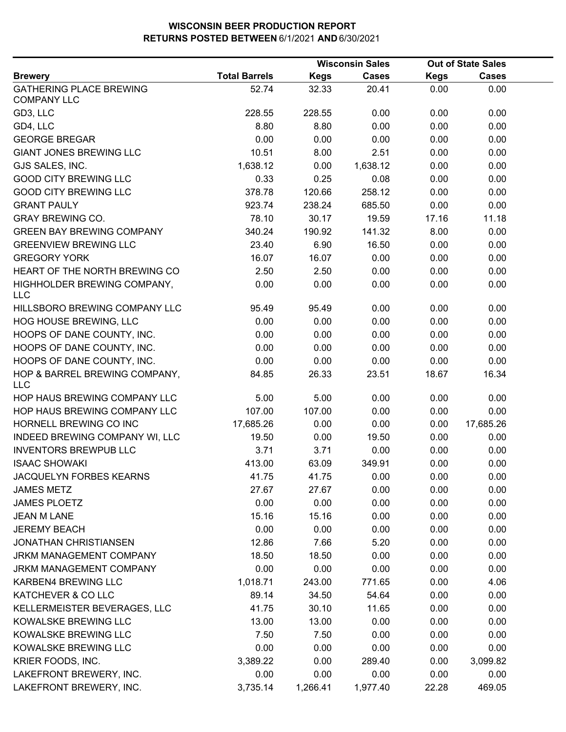|                                                      |                      |             | <b>Wisconsin Sales</b> |             | Out of State Sales |  |
|------------------------------------------------------|----------------------|-------------|------------------------|-------------|--------------------|--|
| <b>Brewery</b>                                       | <b>Total Barrels</b> | <b>Kegs</b> | <b>Cases</b>           | <b>Kegs</b> | <b>Cases</b>       |  |
| <b>GATHERING PLACE BREWING</b><br><b>COMPANY LLC</b> | 52.74                | 32.33       | 20.41                  | 0.00        | 0.00               |  |
| GD3, LLC                                             | 228.55               | 228.55      | 0.00                   | 0.00        | 0.00               |  |
| GD4, LLC                                             | 8.80                 | 8.80        | 0.00                   | 0.00        | 0.00               |  |
| <b>GEORGE BREGAR</b>                                 | 0.00                 | 0.00        | 0.00                   | 0.00        | 0.00               |  |
| <b>GIANT JONES BREWING LLC</b>                       | 10.51                | 8.00        | 2.51                   | 0.00        | 0.00               |  |
| GJS SALES, INC.                                      | 1,638.12             | 0.00        | 1,638.12               | 0.00        | 0.00               |  |
| <b>GOOD CITY BREWING LLC</b>                         | 0.33                 | 0.25        | 0.08                   | 0.00        | 0.00               |  |
| <b>GOOD CITY BREWING LLC</b>                         | 378.78               | 120.66      | 258.12                 | 0.00        | 0.00               |  |
| <b>GRANT PAULY</b>                                   | 923.74               | 238.24      | 685.50                 | 0.00        | 0.00               |  |
| <b>GRAY BREWING CO.</b>                              | 78.10                | 30.17       | 19.59                  | 17.16       | 11.18              |  |
| <b>GREEN BAY BREWING COMPANY</b>                     | 340.24               | 190.92      | 141.32                 | 8.00        | 0.00               |  |
| <b>GREENVIEW BREWING LLC</b>                         | 23.40                | 6.90        | 16.50                  | 0.00        | 0.00               |  |
| <b>GREGORY YORK</b>                                  | 16.07                | 16.07       | 0.00                   | 0.00        | 0.00               |  |
| HEART OF THE NORTH BREWING CO                        | 2.50                 | 2.50        | 0.00                   | 0.00        | 0.00               |  |
| HIGHHOLDER BREWING COMPANY,<br><b>LLC</b>            | 0.00                 | 0.00        | 0.00                   | 0.00        | 0.00               |  |
| HILLSBORO BREWING COMPANY LLC                        | 95.49                | 95.49       | 0.00                   | 0.00        | 0.00               |  |
| HOG HOUSE BREWING, LLC                               | 0.00                 | 0.00        | 0.00                   | 0.00        | 0.00               |  |
| HOOPS OF DANE COUNTY, INC.                           | 0.00                 | 0.00        | 0.00                   | 0.00        | 0.00               |  |
| HOOPS OF DANE COUNTY, INC.                           | 0.00                 | 0.00        | 0.00                   | 0.00        | 0.00               |  |
| HOOPS OF DANE COUNTY, INC.                           | 0.00                 | 0.00        | 0.00                   | 0.00        | 0.00               |  |
| HOP & BARREL BREWING COMPANY,<br><b>LLC</b>          | 84.85                | 26.33       | 23.51                  | 18.67       | 16.34              |  |
| HOP HAUS BREWING COMPANY LLC                         | 5.00                 | 5.00        | 0.00                   | 0.00        | 0.00               |  |
| HOP HAUS BREWING COMPANY LLC                         | 107.00               | 107.00      | 0.00                   | 0.00        | 0.00               |  |
| HORNELL BREWING CO INC                               | 17,685.26            | 0.00        | 0.00                   | 0.00        | 17,685.26          |  |
| INDEED BREWING COMPANY WI, LLC                       | 19.50                | 0.00        | 19.50                  | 0.00        | 0.00               |  |
| <b>INVENTORS BREWPUB LLC</b>                         | 3.71                 | 3.71        | 0.00                   | 0.00        | 0.00               |  |
| <b>ISAAC SHOWAKI</b>                                 | 413.00               | 63.09       | 349.91                 | 0.00        | 0.00               |  |
| JACQUELYN FORBES KEARNS                              | 41.75                | 41.75       | 0.00                   | 0.00        | 0.00               |  |
| <b>JAMES METZ</b>                                    | 27.67                | 27.67       | 0.00                   | 0.00        | 0.00               |  |
| <b>JAMES PLOETZ</b>                                  | 0.00                 | 0.00        | 0.00                   | 0.00        | 0.00               |  |
| <b>JEAN M LANE</b>                                   | 15.16                | 15.16       | 0.00                   | 0.00        | 0.00               |  |
| <b>JEREMY BEACH</b>                                  | 0.00                 | 0.00        | 0.00                   | 0.00        | 0.00               |  |
| <b>JONATHAN CHRISTIANSEN</b>                         | 12.86                | 7.66        | 5.20                   | 0.00        | 0.00               |  |
| JRKM MANAGEMENT COMPANY                              | 18.50                | 18.50       | 0.00                   | 0.00        | 0.00               |  |
| <b>JRKM MANAGEMENT COMPANY</b>                       | 0.00                 | 0.00        | 0.00                   | 0.00        | 0.00               |  |
| KARBEN4 BREWING LLC                                  | 1,018.71             | 243.00      | 771.65                 | 0.00        | 4.06               |  |
| KATCHEVER & CO LLC                                   | 89.14                | 34.50       | 54.64                  | 0.00        | 0.00               |  |
| KELLERMEISTER BEVERAGES, LLC                         | 41.75                | 30.10       | 11.65                  | 0.00        | 0.00               |  |
| KOWALSKE BREWING LLC                                 | 13.00                | 13.00       | 0.00                   | 0.00        | 0.00               |  |
| KOWALSKE BREWING LLC                                 | 7.50                 | 7.50        | 0.00                   | 0.00        | 0.00               |  |
| KOWALSKE BREWING LLC                                 | 0.00                 | 0.00        | 0.00                   | 0.00        | 0.00               |  |
| KRIER FOODS, INC.                                    | 3,389.22             | 0.00        | 289.40                 | 0.00        | 3,099.82           |  |
| LAKEFRONT BREWERY, INC.                              | 0.00                 | 0.00        | 0.00                   | 0.00        | 0.00               |  |
| LAKEFRONT BREWERY, INC.                              | 3,735.14             | 1,266.41    | 1,977.40               | 22.28       | 469.05             |  |
|                                                      |                      |             |                        |             |                    |  |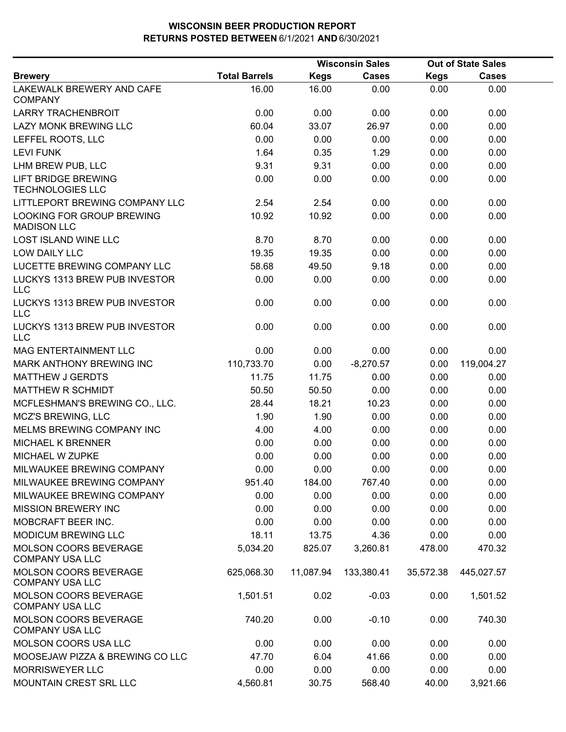|                                                        |                      |             | <b>Wisconsin Sales</b> |             | <b>Out of State Sales</b> |  |
|--------------------------------------------------------|----------------------|-------------|------------------------|-------------|---------------------------|--|
| <b>Brewery</b>                                         | <b>Total Barrels</b> | <b>Kegs</b> | <b>Cases</b>           | <b>Kegs</b> | <b>Cases</b>              |  |
| LAKEWALK BREWERY AND CAFE<br><b>COMPANY</b>            | 16.00                | 16.00       | 0.00                   | 0.00        | 0.00                      |  |
| <b>LARRY TRACHENBROIT</b>                              | 0.00                 | 0.00        | 0.00                   | 0.00        | 0.00                      |  |
| LAZY MONK BREWING LLC                                  | 60.04                | 33.07       | 26.97                  | 0.00        | 0.00                      |  |
| LEFFEL ROOTS, LLC                                      | 0.00                 | 0.00        | 0.00                   | 0.00        | 0.00                      |  |
| <b>LEVI FUNK</b>                                       | 1.64                 | 0.35        | 1.29                   | 0.00        | 0.00                      |  |
| LHM BREW PUB, LLC                                      | 9.31                 | 9.31        | 0.00                   | 0.00        | 0.00                      |  |
| <b>LIFT BRIDGE BREWING</b><br><b>TECHNOLOGIES LLC</b>  | 0.00                 | 0.00        | 0.00                   | 0.00        | 0.00                      |  |
| LITTLEPORT BREWING COMPANY LLC                         | 2.54                 | 2.54        | 0.00                   | 0.00        | 0.00                      |  |
| LOOKING FOR GROUP BREWING<br><b>MADISON LLC</b>        | 10.92                | 10.92       | 0.00                   | 0.00        | 0.00                      |  |
| <b>LOST ISLAND WINE LLC</b>                            | 8.70                 | 8.70        | 0.00                   | 0.00        | 0.00                      |  |
| LOW DAILY LLC                                          | 19.35                | 19.35       | 0.00                   | 0.00        | 0.00                      |  |
| LUCETTE BREWING COMPANY LLC                            | 58.68                | 49.50       | 9.18                   | 0.00        | 0.00                      |  |
| LUCKYS 1313 BREW PUB INVESTOR<br><b>LLC</b>            | 0.00                 | 0.00        | 0.00                   | 0.00        | 0.00                      |  |
| LUCKYS 1313 BREW PUB INVESTOR<br><b>LLC</b>            | 0.00                 | 0.00        | 0.00                   | 0.00        | 0.00                      |  |
| LUCKYS 1313 BREW PUB INVESTOR<br><b>LLC</b>            | 0.00                 | 0.00        | 0.00                   | 0.00        | 0.00                      |  |
| <b>MAG ENTERTAINMENT LLC</b>                           | 0.00                 | 0.00        | 0.00                   | 0.00        | 0.00                      |  |
| MARK ANTHONY BREWING INC                               | 110,733.70           | 0.00        | $-8,270.57$            | 0.00        | 119,004.27                |  |
| <b>MATTHEW J GERDTS</b>                                | 11.75                | 11.75       | 0.00                   | 0.00        | 0.00                      |  |
| <b>MATTHEW R SCHMIDT</b>                               | 50.50                | 50.50       | 0.00                   | 0.00        | 0.00                      |  |
| MCFLESHMAN'S BREWING CO., LLC.                         | 28.44                | 18.21       | 10.23                  | 0.00        | 0.00                      |  |
| <b>MCZ'S BREWING, LLC</b>                              | 1.90                 | 1.90        | 0.00                   | 0.00        | 0.00                      |  |
| MELMS BREWING COMPANY INC                              | 4.00                 | 4.00        | 0.00                   | 0.00        | 0.00                      |  |
| <b>MICHAEL K BRENNER</b>                               | 0.00                 | 0.00        | 0.00                   | 0.00        | 0.00                      |  |
| MICHAEL W ZUPKE                                        | 0.00                 | 0.00        | 0.00                   | 0.00        | 0.00                      |  |
| MILWAUKEE BREWING COMPANY                              | 0.00                 | 0.00        | 0.00                   | 0.00        | 0.00                      |  |
| MILWAUKEE BREWING COMPANY                              | 951.40               | 184.00      | 767.40                 | 0.00        | 0.00                      |  |
| MILWAUKEE BREWING COMPANY                              | 0.00                 | 0.00        | 0.00                   | 0.00        | 0.00                      |  |
| <b>MISSION BREWERY INC</b>                             | 0.00                 | 0.00        | 0.00                   | 0.00        | 0.00                      |  |
| MOBCRAFT BEER INC.                                     | 0.00                 | 0.00        | 0.00                   | 0.00        | 0.00                      |  |
| <b>MODICUM BREWING LLC</b>                             | 18.11                | 13.75       | 4.36                   | 0.00        | 0.00                      |  |
| MOLSON COORS BEVERAGE<br><b>COMPANY USA LLC</b>        | 5,034.20             | 825.07      | 3,260.81               | 478.00      | 470.32                    |  |
| <b>MOLSON COORS BEVERAGE</b><br><b>COMPANY USA LLC</b> | 625,068.30           | 11,087.94   | 133,380.41             | 35,572.38   | 445,027.57                |  |
| <b>MOLSON COORS BEVERAGE</b><br><b>COMPANY USA LLC</b> | 1,501.51             | 0.02        | $-0.03$                | 0.00        | 1,501.52                  |  |
| <b>MOLSON COORS BEVERAGE</b><br><b>COMPANY USA LLC</b> | 740.20               | 0.00        | $-0.10$                | 0.00        | 740.30                    |  |
| MOLSON COORS USA LLC                                   | 0.00                 | 0.00        | 0.00                   | 0.00        | 0.00                      |  |
| MOOSEJAW PIZZA & BREWING CO LLC                        | 47.70                | 6.04        | 41.66                  | 0.00        | 0.00                      |  |
| <b>MORRISWEYER LLC</b>                                 | 0.00                 | 0.00        | 0.00                   | 0.00        | 0.00                      |  |
| <b>MOUNTAIN CREST SRL LLC</b>                          | 4,560.81             | 30.75       | 568.40                 | 40.00       | 3,921.66                  |  |
|                                                        |                      |             |                        |             |                           |  |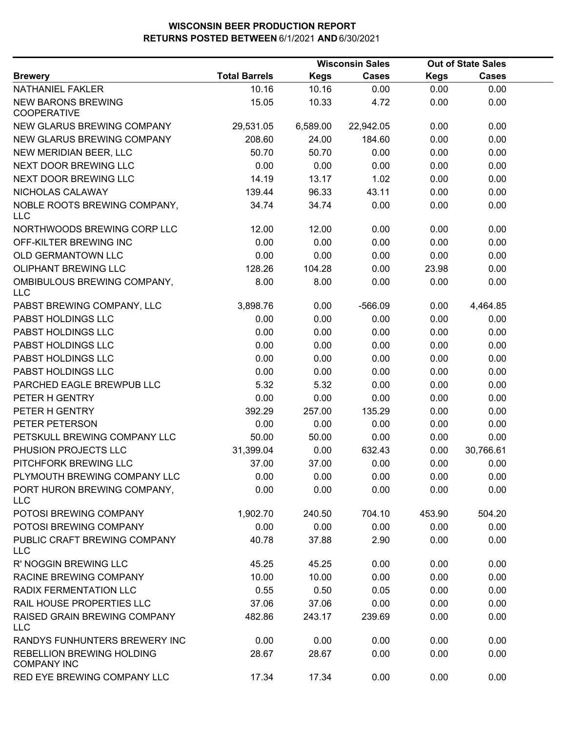|                                                 |                      |             | <b>Wisconsin Sales</b> |             | <b>Out of State Sales</b> |
|-------------------------------------------------|----------------------|-------------|------------------------|-------------|---------------------------|
| <b>Brewery</b>                                  | <b>Total Barrels</b> | <b>Kegs</b> | <b>Cases</b>           | <b>Kegs</b> | <b>Cases</b>              |
| NATHANIEL FAKLER                                | 10.16                | 10.16       | 0.00                   | 0.00        | 0.00                      |
| <b>NEW BARONS BREWING</b><br><b>COOPERATIVE</b> | 15.05                | 10.33       | 4.72                   | 0.00        | 0.00                      |
| <b>NEW GLARUS BREWING COMPANY</b>               | 29,531.05            | 6,589.00    | 22,942.05              | 0.00        | 0.00                      |
| NEW GLARUS BREWING COMPANY                      | 208.60               | 24.00       | 184.60                 | 0.00        | 0.00                      |
| NEW MERIDIAN BEER, LLC                          | 50.70                | 50.70       | 0.00                   | 0.00        | 0.00                      |
| NEXT DOOR BREWING LLC                           | 0.00                 | 0.00        | 0.00                   | 0.00        | 0.00                      |
| NEXT DOOR BREWING LLC                           | 14.19                | 13.17       | 1.02                   | 0.00        | 0.00                      |
| NICHOLAS CALAWAY                                | 139.44               | 96.33       | 43.11                  | 0.00        | 0.00                      |
| NOBLE ROOTS BREWING COMPANY,<br><b>LLC</b>      | 34.74                | 34.74       | 0.00                   | 0.00        | 0.00                      |
| NORTHWOODS BREWING CORP LLC                     | 12.00                | 12.00       | 0.00                   | 0.00        | 0.00                      |
| OFF-KILTER BREWING INC                          | 0.00                 | 0.00        | 0.00                   | 0.00        | 0.00                      |
| OLD GERMANTOWN LLC                              | 0.00                 | 0.00        | 0.00                   | 0.00        | 0.00                      |
| <b>OLIPHANT BREWING LLC</b>                     | 128.26               | 104.28      | 0.00                   | 23.98       | 0.00                      |
| OMBIBULOUS BREWING COMPANY,<br><b>LLC</b>       | 8.00                 | 8.00        | 0.00                   | 0.00        | 0.00                      |
| PABST BREWING COMPANY, LLC                      | 3,898.76             | 0.00        | $-566.09$              | 0.00        | 4,464.85                  |
| PABST HOLDINGS LLC                              | 0.00                 | 0.00        | 0.00                   | 0.00        | 0.00                      |
| PABST HOLDINGS LLC                              | 0.00                 | 0.00        | 0.00                   | 0.00        | 0.00                      |
| PABST HOLDINGS LLC                              | 0.00                 | 0.00        | 0.00                   | 0.00        | 0.00                      |
| PABST HOLDINGS LLC                              | 0.00                 | 0.00        | 0.00                   | 0.00        | 0.00                      |
| PABST HOLDINGS LLC                              | 0.00                 | 0.00        | 0.00                   | 0.00        | 0.00                      |
| PARCHED EAGLE BREWPUB LLC                       | 5.32                 | 5.32        | 0.00                   | 0.00        | 0.00                      |
| PETER H GENTRY                                  | 0.00                 | 0.00        | 0.00                   | 0.00        | 0.00                      |
| PETER H GENTRY                                  | 392.29               | 257.00      | 135.29                 | 0.00        | 0.00                      |
| PETER PETERSON                                  | 0.00                 | 0.00        | 0.00                   | 0.00        | 0.00                      |
| PETSKULL BREWING COMPANY LLC                    | 50.00                | 50.00       | 0.00                   | 0.00        | 0.00                      |
| PHUSION PROJECTS LLC                            | 31,399.04            | 0.00        | 632.43                 | 0.00        | 30,766.61                 |
| PITCHFORK BREWING LLC                           | 37.00                | 37.00       | 0.00                   | 0.00        | 0.00                      |
| PLYMOUTH BREWING COMPANY LLC                    | 0.00                 | 0.00        | 0.00                   | 0.00        | 0.00                      |
| PORT HURON BREWING COMPANY,<br><b>LLC</b>       | 0.00                 | 0.00        | 0.00                   | 0.00        | 0.00                      |
| POTOSI BREWING COMPANY                          | 1,902.70             | 240.50      | 704.10                 | 453.90      | 504.20                    |
| POTOSI BREWING COMPANY                          | 0.00                 | 0.00        | 0.00                   | 0.00        | 0.00                      |
| PUBLIC CRAFT BREWING COMPANY<br><b>LLC</b>      | 40.78                | 37.88       | 2.90                   | 0.00        | 0.00                      |
| R' NOGGIN BREWING LLC                           | 45.25                | 45.25       | 0.00                   | 0.00        | 0.00                      |
| RACINE BREWING COMPANY                          | 10.00                | 10.00       | 0.00                   | 0.00        | 0.00                      |
| <b>RADIX FERMENTATION LLC</b>                   | 0.55                 | 0.50        | 0.05                   | 0.00        | 0.00                      |
| RAIL HOUSE PROPERTIES LLC                       | 37.06                | 37.06       | 0.00                   | 0.00        | 0.00                      |
| RAISED GRAIN BREWING COMPANY<br><b>LLC</b>      | 482.86               | 243.17      | 239.69                 | 0.00        | 0.00                      |
| RANDYS FUNHUNTERS BREWERY INC                   | 0.00                 | 0.00        | 0.00                   | 0.00        | 0.00                      |
| REBELLION BREWING HOLDING<br><b>COMPANY INC</b> | 28.67                | 28.67       | 0.00                   | 0.00        | 0.00                      |
| RED EYE BREWING COMPANY LLC                     | 17.34                | 17.34       | 0.00                   | 0.00        | 0.00                      |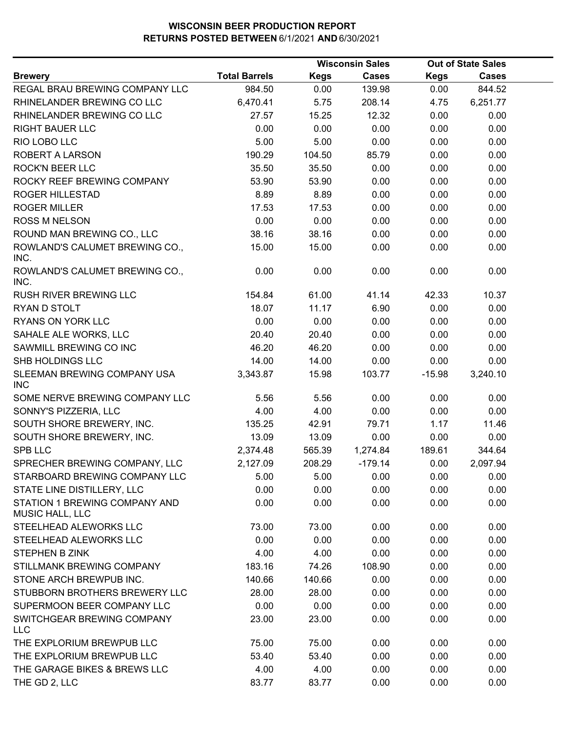|                                                         |                      |             | <b>Wisconsin Sales</b> |             | <b>Out of State Sales</b> |
|---------------------------------------------------------|----------------------|-------------|------------------------|-------------|---------------------------|
| <b>Brewery</b>                                          | <b>Total Barrels</b> | <b>Kegs</b> | <b>Cases</b>           | <b>Kegs</b> | <b>Cases</b>              |
| REGAL BRAU BREWING COMPANY LLC                          | 984.50               | 0.00        | 139.98                 | 0.00        | 844.52                    |
| RHINELANDER BREWING CO LLC                              | 6,470.41             | 5.75        | 208.14                 | 4.75        | 6,251.77                  |
| RHINELANDER BREWING CO LLC                              | 27.57                | 15.25       | 12.32                  | 0.00        | 0.00                      |
| <b>RIGHT BAUER LLC</b>                                  | 0.00                 | 0.00        | 0.00                   | 0.00        | 0.00                      |
| RIO LOBO LLC                                            | 5.00                 | 5.00        | 0.00                   | 0.00        | 0.00                      |
| <b>ROBERT A LARSON</b>                                  | 190.29               | 104.50      | 85.79                  | 0.00        | 0.00                      |
| <b>ROCK'N BEER LLC</b>                                  | 35.50                | 35.50       | 0.00                   | 0.00        | 0.00                      |
| ROCKY REEF BREWING COMPANY                              | 53.90                | 53.90       | 0.00                   | 0.00        | 0.00                      |
| <b>ROGER HILLESTAD</b>                                  | 8.89                 | 8.89        | 0.00                   | 0.00        | 0.00                      |
| <b>ROGER MILLER</b>                                     | 17.53                | 17.53       | 0.00                   | 0.00        | 0.00                      |
| <b>ROSS M NELSON</b>                                    | 0.00                 | 0.00        | 0.00                   | 0.00        | 0.00                      |
| ROUND MAN BREWING CO., LLC                              | 38.16                | 38.16       | 0.00                   | 0.00        | 0.00                      |
| ROWLAND'S CALUMET BREWING CO.,<br>INC.                  | 15.00                | 15.00       | 0.00                   | 0.00        | 0.00                      |
| ROWLAND'S CALUMET BREWING CO.,<br>INC.                  | 0.00                 | 0.00        | 0.00                   | 0.00        | 0.00                      |
| <b>RUSH RIVER BREWING LLC</b>                           | 154.84               | 61.00       | 41.14                  | 42.33       | 10.37                     |
| RYAN D STOLT                                            | 18.07                | 11.17       | 6.90                   | 0.00        | 0.00                      |
| <b>RYANS ON YORK LLC</b>                                | 0.00                 | 0.00        | 0.00                   | 0.00        | 0.00                      |
| SAHALE ALE WORKS, LLC                                   | 20.40                | 20.40       | 0.00                   | 0.00        | 0.00                      |
| SAWMILL BREWING CO INC                                  | 46.20                | 46.20       | 0.00                   | 0.00        | 0.00                      |
| SHB HOLDINGS LLC                                        | 14.00                | 14.00       | 0.00                   | 0.00        | 0.00                      |
| SLEEMAN BREWING COMPANY USA<br><b>INC</b>               | 3,343.87             | 15.98       | 103.77                 | $-15.98$    | 3,240.10                  |
| SOME NERVE BREWING COMPANY LLC                          | 5.56                 | 5.56        | 0.00                   | 0.00        | 0.00                      |
| SONNY'S PIZZERIA, LLC                                   | 4.00                 | 4.00        | 0.00                   | 0.00        | 0.00                      |
| SOUTH SHORE BREWERY, INC.                               | 135.25               | 42.91       | 79.71                  | 1.17        | 11.46                     |
| SOUTH SHORE BREWERY, INC.                               | 13.09                | 13.09       | 0.00                   | 0.00        | 0.00                      |
| <b>SPB LLC</b>                                          | 2,374.48             | 565.39      | 1,274.84               | 189.61      | 344.64                    |
| SPRECHER BREWING COMPANY, LLC                           | 2,127.09             | 208.29      | $-179.14$              | 0.00        | 2,097.94                  |
| STARBOARD BREWING COMPANY LLC                           | 5.00                 | 5.00        | 0.00                   | 0.00        | 0.00                      |
| STATE LINE DISTILLERY, LLC                              | 0.00                 | 0.00        | 0.00                   | 0.00        | 0.00                      |
| STATION 1 BREWING COMPANY AND<br><b>MUSIC HALL, LLC</b> | 0.00                 | 0.00        | 0.00                   | 0.00        | 0.00                      |
| STEELHEAD ALEWORKS LLC                                  | 73.00                | 73.00       | 0.00                   | 0.00        | 0.00                      |
| STEELHEAD ALEWORKS LLC                                  | 0.00                 | 0.00        | 0.00                   | 0.00        | 0.00                      |
| STEPHEN B ZINK                                          | 4.00                 | 4.00        | 0.00                   | 0.00        | 0.00                      |
| STILLMANK BREWING COMPANY                               | 183.16               | 74.26       | 108.90                 | 0.00        | 0.00                      |
| STONE ARCH BREWPUB INC.                                 | 140.66               | 140.66      | 0.00                   | 0.00        | 0.00                      |
| STUBBORN BROTHERS BREWERY LLC                           | 28.00                | 28.00       | 0.00                   | 0.00        | 0.00                      |
| SUPERMOON BEER COMPANY LLC                              | 0.00                 | 0.00        | 0.00                   | 0.00        | 0.00                      |
| SWITCHGEAR BREWING COMPANY<br><b>LLC</b>                | 23.00                | 23.00       | 0.00                   | 0.00        | 0.00                      |
| THE EXPLORIUM BREWPUB LLC                               | 75.00                | 75.00       | 0.00                   | 0.00        | 0.00                      |
| THE EXPLORIUM BREWPUB LLC                               | 53.40                | 53.40       | 0.00                   | 0.00        | 0.00                      |
| THE GARAGE BIKES & BREWS LLC                            | 4.00                 | 4.00        | 0.00                   | 0.00        | 0.00                      |
| THE GD 2, LLC                                           | 83.77                | 83.77       | 0.00                   | 0.00        | 0.00                      |